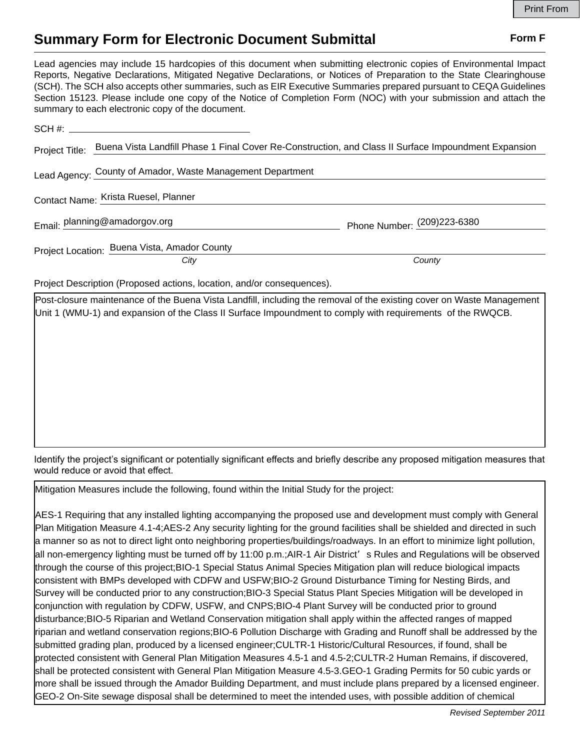## **Summary Form for Electronic Document Submittal Form F Form F**

Lead agencies may include 15 hardcopies of this document when submitting electronic copies of Environmental Impact Reports, Negative Declarations, Mitigated Negative Declarations, or Notices of Preparation to the State Clearinghouse (SCH). The SCH also accepts other summaries, such as EIR Executive Summaries prepared pursuant to CEQA Guidelines Section 15123. Please include one copy of the Notice of Completion Form (NOC) with your submission and attach the summary to each electronic copy of the document.

| $SCH \#$                                                                                                            |                                                                        |                              |
|---------------------------------------------------------------------------------------------------------------------|------------------------------------------------------------------------|------------------------------|
| Project Title: Buena Vista Landfill Phase 1 Final Cover Re-Construction, and Class II Surface Impoundment Expansion |                                                                        |                              |
| Lead Agency: County of Amador, Waste Management Department                                                          |                                                                        |                              |
| Contact Name: Krista Ruesel, Planner                                                                                |                                                                        |                              |
|                                                                                                                     | Email: planning@amadorgov.org                                          | Phone Number: (209) 223-6380 |
|                                                                                                                     | Project Location: Buena Vista, Amador County                           |                              |
|                                                                                                                     | City                                                                   | County                       |
|                                                                                                                     | Project Description (Proposed actions, location, and/or consequences). |                              |

Post-closure maintenance of the Buena Vista Landfill, including the removal of the existing cover on Waste Management Unit 1 (WMU-1) and expansion of the Class II Surface Impoundment to comply with requirements of the RWQCB.

Identify the project's significant or potentially significant effects and briefly describe any proposed mitigation measures that would reduce or avoid that effect.

Mitigation Measures include the following, found within the Initial Study for the project: